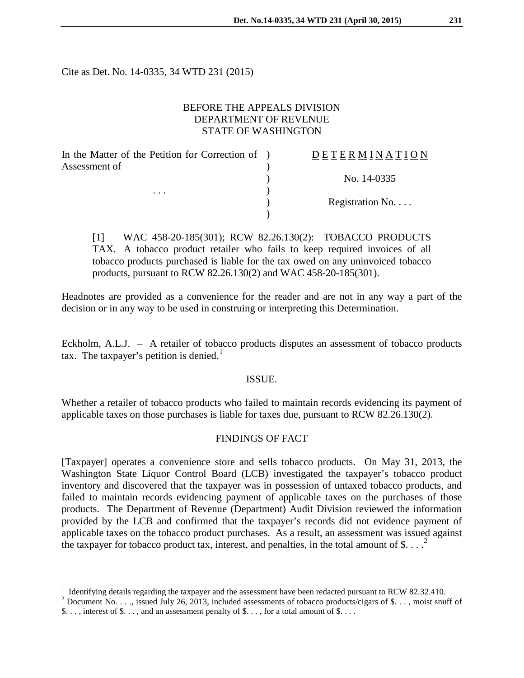Cite as Det. No. 14-0335, 34 WTD 231 (2015)

# BEFORE THE APPEALS DIVISION DEPARTMENT OF REVENUE STATE OF WASHINGTON

| In the Matter of the Petition for Correction of ) | DETERMINATION   |
|---------------------------------------------------|-----------------|
| Assessment of<br>$\cdots$                         |                 |
|                                                   | No. 14-0335     |
|                                                   |                 |
|                                                   | Registration No |
|                                                   |                 |

[1] WAC 458-20-185(301); RCW 82.26.130(2): TOBACCO PRODUCTS TAX. A tobacco product retailer who fails to keep required invoices of all tobacco products purchased is liable for the tax owed on any uninvoiced tobacco products, pursuant to RCW 82.26.130(2) and WAC 458-20-185(301).

Headnotes are provided as a convenience for the reader and are not in any way a part of the decision or in any way to be used in construing or interpreting this Determination.

Eckholm, A.L.J. – A retailer of tobacco products disputes an assessment of tobacco products tax. The taxpayer's petition is denied.<sup>[1](#page-0-0)</sup>

### ISSUE.

Whether a retailer of tobacco products who failed to maintain records evidencing its payment of applicable taxes on those purchases is liable for taxes due, pursuant to RCW 82.26.130(2).

### FINDINGS OF FACT

[Taxpayer] operates a convenience store and sells tobacco products. On May 31, 2013, the Washington State Liquor Control Board (LCB) investigated the taxpayer's tobacco product inventory and discovered that the taxpayer was in possession of untaxed tobacco products, and failed to maintain records evidencing payment of applicable taxes on the purchases of those products. The Department of Revenue (Department) Audit Division reviewed the information provided by the LCB and confirmed that the taxpayer's records did not evidence payment of applicable taxes on the tobacco product purchases. As a result, an assessment was issued against the taxpayer for tobacco product tax, interest, and penalties, in the total amount of \$....<sup>[2](#page-0-1)</sup>

<span id="page-0-0"></span><sup>&</sup>lt;sup>1</sup> Identifying details regarding the taxpayer and the assessment have been redacted pursuant to RCW 82.32.410.

<span id="page-0-1"></span><sup>&</sup>lt;sup>2</sup> Document No. . . . issued July 26, 2013, included assessments of tobacco products/cigars of \$. . . , moist snuff of \$..., interest of \$..., and an assessment penalty of \$..., for a total amount of \$....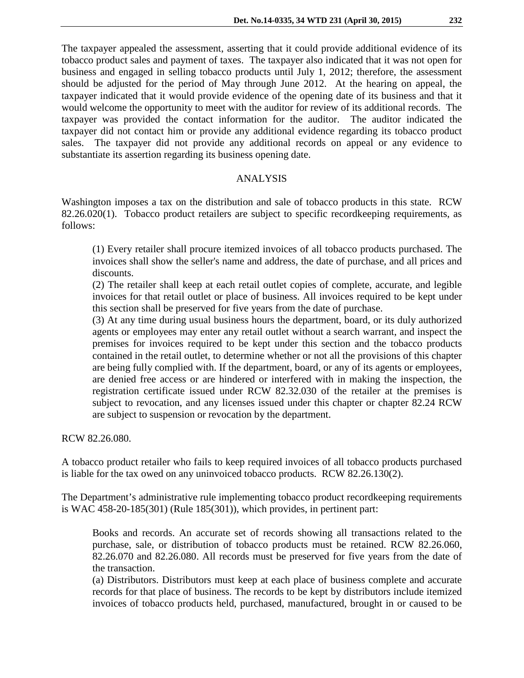The taxpayer appealed the assessment, asserting that it could provide additional evidence of its tobacco product sales and payment of taxes. The taxpayer also indicated that it was not open for business and engaged in selling tobacco products until July 1, 2012; therefore, the assessment should be adjusted for the period of May through June 2012. At the hearing on appeal, the taxpayer indicated that it would provide evidence of the opening date of its business and that it would welcome the opportunity to meet with the auditor for review of its additional records. The taxpayer was provided the contact information for the auditor. The auditor indicated the taxpayer did not contact him or provide any additional evidence regarding its tobacco product sales. The taxpayer did not provide any additional records on appeal or any evidence to substantiate its assertion regarding its business opening date.

# ANALYSIS

Washington imposes a tax on the distribution and sale of tobacco products in this state. RCW 82.26.020(1). Tobacco product retailers are subject to specific recordkeeping requirements, as follows:

(1) Every retailer shall procure itemized invoices of all tobacco products purchased. The invoices shall show the seller's name and address, the date of purchase, and all prices and discounts.

(2) The retailer shall keep at each retail outlet copies of complete, accurate, and legible invoices for that retail outlet or place of business. All invoices required to be kept under this section shall be preserved for five years from the date of purchase.

(3) At any time during usual business hours the department, board, or its duly authorized agents or employees may enter any retail outlet without a search warrant, and inspect the premises for invoices required to be kept under this section and the tobacco products contained in the retail outlet, to determine whether or not all the provisions of this chapter are being fully complied with. If the department, board, or any of its agents or employees, are denied free access or are hindered or interfered with in making the inspection, the registration certificate issued under RCW 82.32.030 of the retailer at the premises is subject to revocation, and any licenses issued under this chapter or chapter 82.24 RCW are subject to suspension or revocation by the department.

RCW 82.26.080.

A tobacco product retailer who fails to keep required invoices of all tobacco products purchased is liable for the tax owed on any uninvoiced tobacco products. RCW 82.26.130(2).

The Department's administrative rule implementing tobacco product recordkeeping requirements is WAC 458-20-185(301) (Rule 185(301)), which provides, in pertinent part:

Books and records. An accurate set of records showing all transactions related to the purchase, sale, or distribution of tobacco products must be retained. RCW 82.26.060, 82.26.070 and 82.26.080. All records must be preserved for five years from the date of the transaction.

(a) Distributors. Distributors must keep at each place of business complete and accurate records for that place of business. The records to be kept by distributors include itemized invoices of tobacco products held, purchased, manufactured, brought in or caused to be